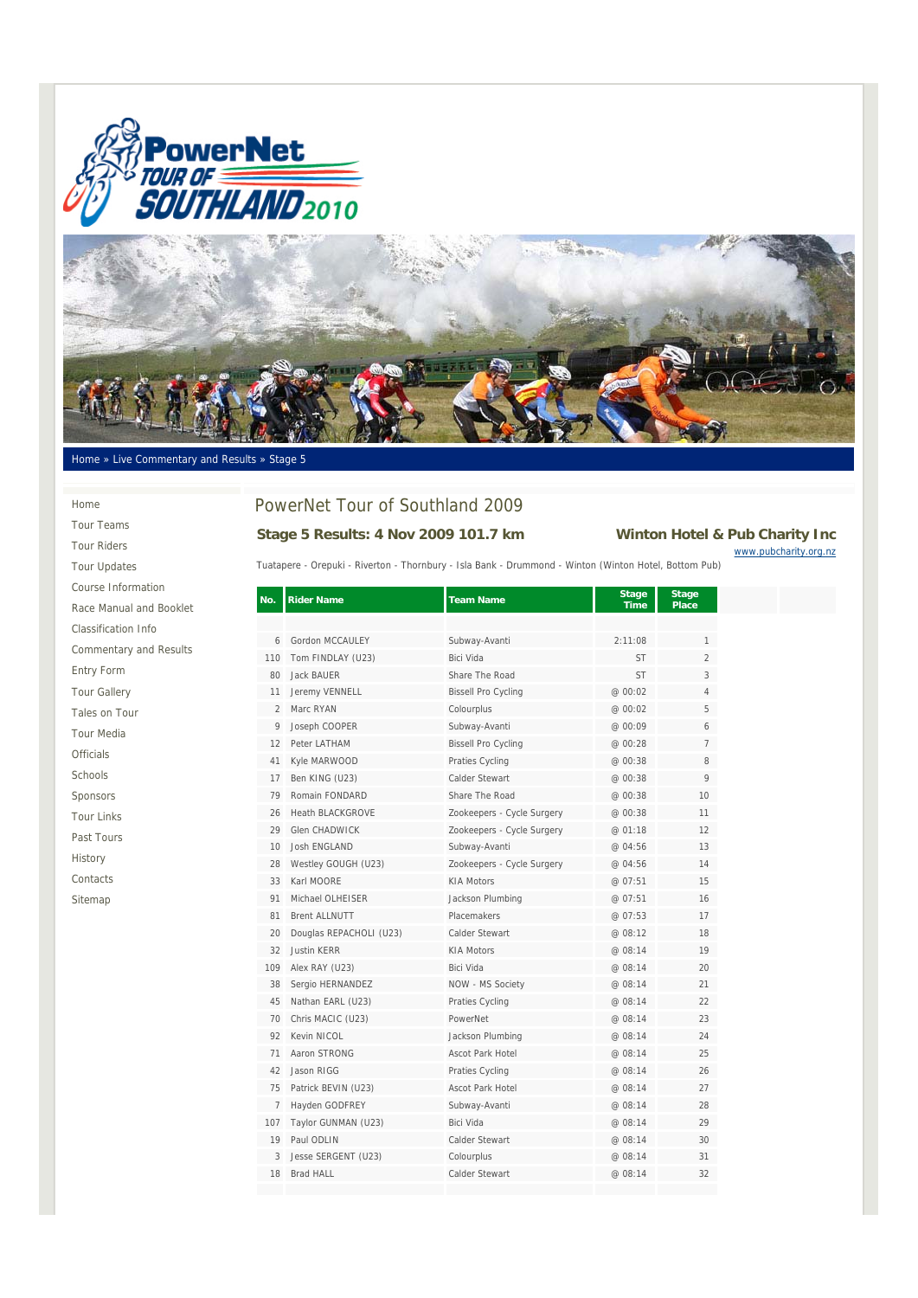



### Home » Live Commentary and Results » Stage 5

#### Home

Tour Teams Tour Riders Tour Updates Course Information Race Manual and Booklet Classification Info Commentary and Results Entry Form Tour Gallery Tales on Tour Tour Media Officials Schools Sponsors Tour Links Past Tours History Contacts Sitemap

# PowerNet Tour of Southland 2009

## **Stage 5 Results: 4 Nov 2009 101.7 km Winton Hotel & Pub Charity Inc** www.pubcharity.org.nz

Tuatapere - Orepuki - Riverton - Thornbury - Isla Bank - Drummond - Winton (Winton Hotel, Bottom Pub)

| No.            | <b>Rider Name</b>       | <b>Team Name</b>           | <b>Stage</b><br><b>Time</b> | <b>Stage</b><br><b>Place</b> |  |
|----------------|-------------------------|----------------------------|-----------------------------|------------------------------|--|
|                |                         |                            |                             |                              |  |
| 6              | Gordon MCCAULEY         | Subway-Avanti              | 2:11:08                     | 1                            |  |
| 110            | Tom FINDLAY (U23)       | Bici Vida                  | <b>ST</b>                   | $\overline{2}$               |  |
| 80             | <b>Jack BAUER</b>       | Share The Road             | <b>ST</b>                   | 3                            |  |
| 11             | Jeremy VENNELL          | <b>Bissell Pro Cycling</b> | @ 00:02                     | 4                            |  |
| $\overline{2}$ | Marc RYAN               | Colourplus                 | @ 00:02                     | 5                            |  |
| 9              | Joseph COOPER           | Subway-Avanti              | @ 00:09                     | 6                            |  |
| 12             | Peter LATHAM            | <b>Bissell Pro Cycling</b> | @ 00:28                     | 7                            |  |
| 41             | Kyle MARWOOD            | Praties Cycling            | @ 00:38                     | 8                            |  |
| 17             | Ben KING (U23)          | Calder Stewart             | @ 00:38                     | 9                            |  |
| 79             | Romain FONDARD          | Share The Road             | @ 00:38                     | 10                           |  |
| 26             | Heath BLACKGROVE        | Zookeepers - Cycle Surgery | @ 00:38                     | 11                           |  |
| 29             | Glen CHADWICK           | Zookeepers - Cycle Surgery | @ 01:18                     | 12                           |  |
| 10             | Josh FNGLAND            | Subway-Avanti              | @ 04:56                     | 13                           |  |
| 28             | Westley GOUGH (U23)     | Zookeepers - Cycle Surgery | @ 04:56                     | 14                           |  |
| 33             | Karl MOORE              | <b>KIA Motors</b>          | @ 07:51                     | 15                           |  |
| 91             | Michael OLHEISER        | Jackson Plumbing           | @ 07:51                     | 16                           |  |
| 81             | <b>Brent ALLNUTT</b>    | Placemakers                | @ 07:53                     | 17                           |  |
| $20 -$         | Douglas REPACHOLI (U23) | Calder Stewart             | @ 08:12                     | 18                           |  |
| 32             | <b>Justin KERR</b>      | <b>KIA Motors</b>          | @ 08:14                     | 19                           |  |
| 109            | Alex RAY (U23)          | Bici Vida                  | @ 08:14                     | 20                           |  |
| 38             | Sergio HERNANDEZ        | NOW - MS Society           | @ 08:14                     | 21                           |  |
| 45             | Nathan EARL (U23)       | Praties Cycling            | @ 08:14                     | 22                           |  |
| 70             | Chris MACIC (U23)       | PowerNet                   | @ 08:14                     | 23                           |  |
| 92             | Kevin NICOL             | Jackson Plumbing           | @ 08:14                     | 24                           |  |
| 71             | Aaron STRONG            | Ascot Park Hotel           | @ 08:14                     | 25                           |  |
| 42             | Jason RIGG              | Praties Cycling            | @ 08:14                     | 26                           |  |
| 75             | Patrick BEVIN (U23)     | <b>Ascot Park Hotel</b>    | @ 08:14                     | 27                           |  |
| $\overline{7}$ | Hayden GODFREY          | Subway-Avanti              | @ 08:14                     | 28                           |  |
| 107            | Taylor GUNMAN (U23)     | Bici Vida                  | @ 08:14                     | 29                           |  |
| 19             | Paul ODLIN              | Calder Stewart             | @ 08:14                     | 30                           |  |
| 3              | Jesse SERGENT (U23)     | Colourplus                 | @ 08:14                     | 31                           |  |
| 18             | Brad HALL               | Calder Stewart             | @ 08:14                     | 32                           |  |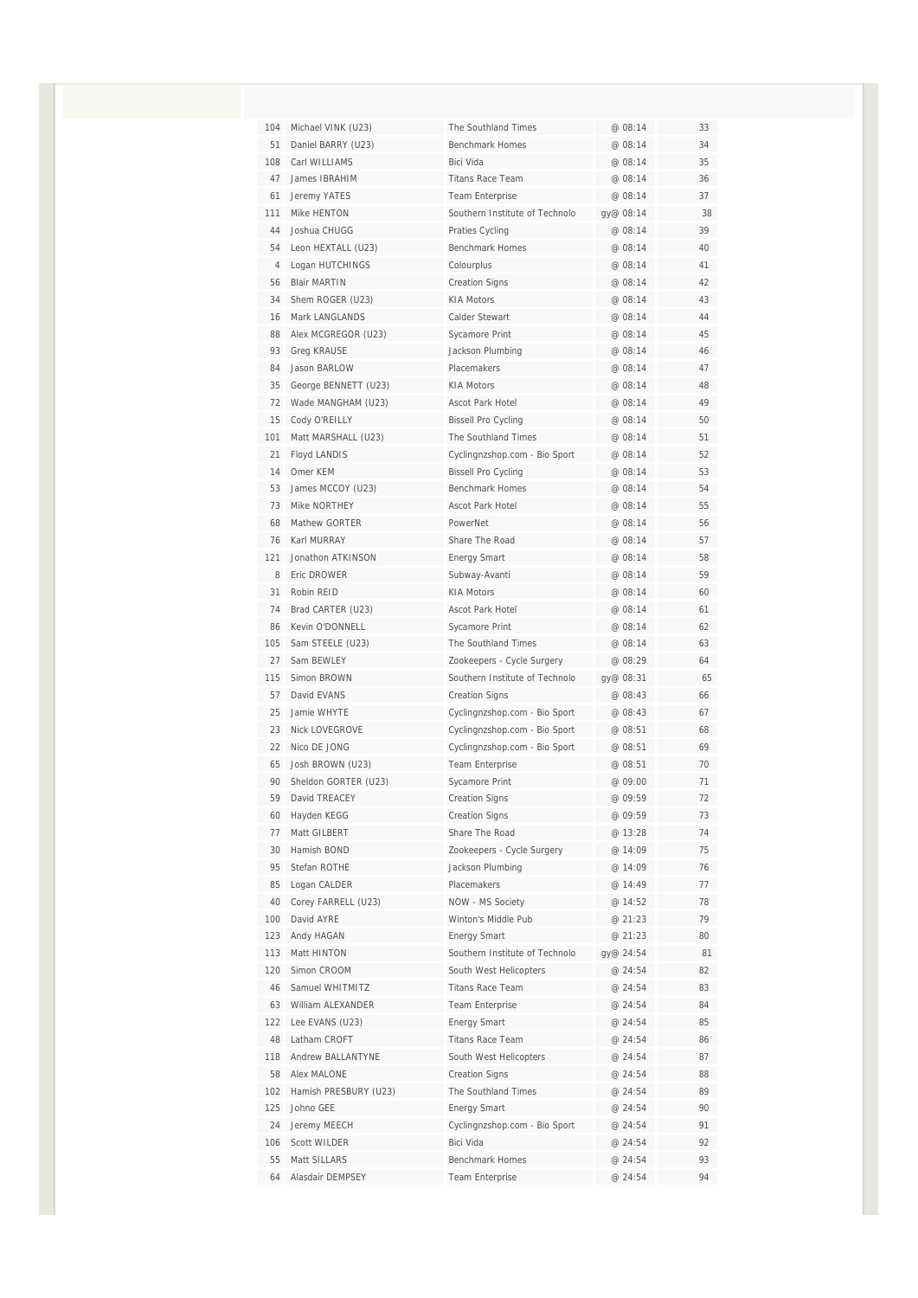| 104 | Michael VINK (U23)    | The Southland Times                        | @ 08:14   | 33 |
|-----|-----------------------|--------------------------------------------|-----------|----|
| 51  | Daniel BARRY (U23)    | Benchmark Homes                            | @ 08:14   | 34 |
| 108 | Carl WILLIAMS         | Bici Vida                                  | @ 08:14   | 35 |
| 47  | James IBRAHIM         | <b>Titans Race Team</b>                    | @ 08:14   | 36 |
| 61  | Jeremy YATES          | <b>Team Enterprise</b>                     | @ 08:14   | 37 |
| 111 | Mike HENTON           | Southern Institute of Technolo             | gy@ 08:14 | 38 |
| 44  | Joshua CHUGG          | Praties Cycling                            | @ 08:14   | 39 |
| 54  | Leon HEXTALL (U23)    | Benchmark Homes                            | @ 08:14   | 40 |
| 4   | Logan HUTCHINGS       | Colourplus                                 | @ 08:14   | 41 |
| 56  | <b>Blair MARTIN</b>   | <b>Creation Signs</b>                      | @ 08:14   | 42 |
| 34  | Shem ROGER (U23)      | <b>KIA Motors</b>                          | @ 08:14   | 43 |
| 16  | Mark LANGLANDS        | Calder Stewart                             | @ 08:14   | 44 |
| 88  | Alex MCGREGOR (U23)   | Sycamore Print                             | @ 08:14   | 45 |
| 93  | <b>Greg KRAUSE</b>    | Jackson Plumbing                           | @ 08:14   | 46 |
| 84  | Jason BARLOW          | <b>Placemakers</b>                         | @ 08:14   | 47 |
| 35  | George BENNETT (U23)  | <b>KIA Motors</b>                          | @ 08:14   | 48 |
| 72  | Wade MANGHAM (U23)    | Ascot Park Hotel                           | @ 08:14   | 49 |
| 15  | Cody O'REILLY         | <b>Bissell Pro Cycling</b>                 | @ 08:14   | 50 |
| 101 | Matt MARSHALL (U23)   | The Southland Times                        | @ 08:14   | 51 |
| 21  | Floyd LANDIS          | Cyclingnzshop.com - Bio Sport              | @ 08:14   | 52 |
| 14  | Omer KEM              | <b>Bissell Pro Cycling</b>                 | @ 08:14   | 53 |
| 53  | James MCCOY (U23)     | <b>Benchmark Homes</b>                     | @ 08:14   | 54 |
| 73  | Mike NORTHEY          | <b>Ascot Park Hotel</b>                    | @ 08:14   | 55 |
| 68  | Mathew GORTFR         | PowerNet                                   | @ 08:14   | 56 |
| 76  | Karl MURRAY           | Share The Road                             | @ 08:14   | 57 |
| 121 | Jonathon ATKINSON     | <b>Energy Smart</b>                        | @ 08:14   | 58 |
| 8   | Eric DROWER           | Subway-Avanti                              | @ 08:14   | 59 |
| 31  | Robin REID            | <b>KIA Motors</b>                          | @ 08:14   | 60 |
| 74  | Brad CARTER (U23)     | Ascot Park Hotel                           | @ 08:14   | 61 |
| 86  | Kevin O'DONNELL       | Sycamore Print                             | @ 08:14   | 62 |
| 105 | Sam STEELE (U23)      | The Southland Times                        | @ 08:14   | 63 |
| 27  | Sam BEWLEY            | Zookeepers - Cycle Surgery                 | @ 08:29   | 64 |
| 115 | Simon BROWN           | Southern Institute of Technolo             | gy@ 08:31 | 65 |
| 57  | David EVANS           | <b>Creation Signs</b>                      | @ 08:43   | 66 |
| 25  | Jamie WHYTE           | Cyclingnzshop.com - Bio Sport              | @ 08:43   | 67 |
| 23  | Nick LOVEGROVE        | Cyclingnzshop.com - Bio Sport              | @ 08:51   | 68 |
| 22  | Nico DE JONG          | Cyclingnzshop.com - Bio Sport              | @ 08:51   | 69 |
| 65  | Josh BROWN (U23)      | Team Enterprise                            | @ 08:51   | 70 |
| 90  | Sheldon GORTER (U23)  | Sycamore Print                             | @ 09:00   | 71 |
| 59  | David TREACEY         | <b>Creation Signs</b>                      | @ 09:59   | 72 |
| 60  | Hayden KEGG           | <b>Creation Signs</b>                      | @ 09:59   | 73 |
| 77  | Matt GILBERT          | Share The Road                             | @ 13:28   | 74 |
| 30  | Hamish BOND           | Zookeepers - Cycle Surgery                 | @ 14:09   | 75 |
| 95  | Stefan ROTHE          | Jackson Plumbing                           | @ 14:09   | 76 |
| 85  | Logan CALDER          | Placemakers                                | @ 14:49   | 77 |
| 40  | Corey FARRELL (U23)   | NOW - MS Society                           | @ 14:52   | 78 |
| 100 | David AYRE            | Winton's Middle Pub                        | @ 21:23   | 79 |
| 123 | Andy HAGAN            | <b>Energy Smart</b>                        | @ 21:23   | 80 |
| 113 | Matt HINTON           | Southern Institute of Technolo             | gy@ 24:54 | 81 |
| 120 | Simon CROOM           | South West Helicopters                     | @ 24:54   | 82 |
| 46  | Samuel WHITMITZ       | <b>Titans Race Team</b>                    | @ 24:54   | 83 |
| 63  | William ALEXANDER     | Team Enterprise                            | @ 24:54   | 84 |
| 122 | Lee EVANS (U23)       | <b>Energy Smart</b>                        | @ 24:54   | 85 |
| 48  | Latham CROFT          | <b>Titans Race Team</b>                    | @ 24:54   | 86 |
| 118 | Andrew BALLANTYNE     | South West Helicopters                     | @ 24:54   | 87 |
| 58  | Alex MALONE           | <b>Creation Signs</b>                      | @ 24:54   | 88 |
| 102 | Hamish PRESBURY (U23) | The Southland Times                        | @ 24:54   | 89 |
| 125 | Johno GEE             |                                            | @ 24:54   | 90 |
| 24  | Jeremy MEECH          | <b>Energy Smart</b>                        | @ 24:54   | 91 |
| 106 | Scott WILDER          | Cyclingnzshop.com - Bio Sport<br>Bici Vida | @ 24:54   | 92 |
| 55  | Matt SILLARS          | Benchmark Homes                            | @ 24:54   | 93 |
| 64  | Alasdair DEMPSEY      |                                            | @ 24:54   | 94 |
|     |                       | <b>Team Enterprise</b>                     |           |    |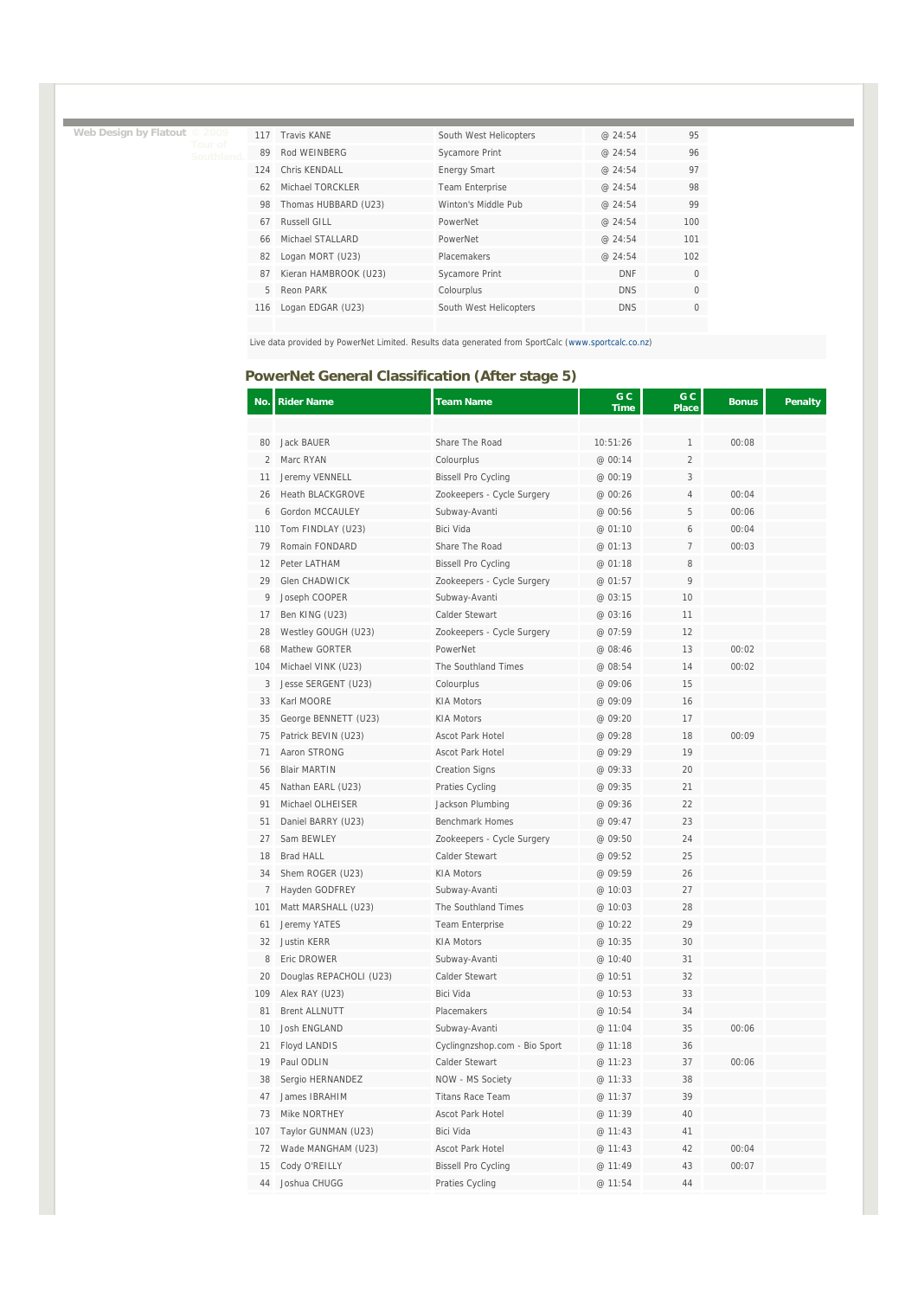**Web Design by Flatout © 2009 Tour of** 

| 117 | Travis KANF           | South West Helicopters | @24:54     | 95           |
|-----|-----------------------|------------------------|------------|--------------|
| 89  | Rod WEINBERG          | Sycamore Print         | @ 24:54    | 96           |
| 124 | Chris KFNDALL         | <b>Energy Smart</b>    | @24:54     | 97           |
| 62  | Michael TORCKLER      | <b>Team Enterprise</b> | @ 24:54    | 98           |
| 98  | Thomas HUBBARD (U23)  | Winton's Middle Pub    | @24:54     | 99           |
| 67  | Russell GILL          | PowerNet               | @ 24:54    | 100          |
| 66  | Michael STALLARD      | PowerNet               | @24:54     | 101          |
| 82  | Logan MORT (U23)      | Placemakers            | @ 24:54    | 102          |
| 87  | Kieran HAMBROOK (U23) | <b>Sycamore Print</b>  | <b>DNF</b> | $\mathbf{0}$ |
| 5   | Reon PARK             | Colourplus             | <b>DNS</b> | $\Omega$     |
| 116 | Logan EDGAR (U23)     | South West Helicopters | <b>DNS</b> | $\Omega$     |
|     |                       |                        |            |              |

Live data provided by PowerNet Limited. Results data generated from SportCalc (www.sportcalc.co.nz)

# **PowerNet General Classification (After stage 5)**

| No.            | <b>Rider Name</b>       | <b>Team Name</b>              | G C<br><b>Time</b> | G C<br>Place   | <b>Bonus</b> | Penalty |
|----------------|-------------------------|-------------------------------|--------------------|----------------|--------------|---------|
|                |                         |                               |                    |                |              |         |
| 80             | <b>Jack BAUER</b>       | Share The Road                | 10:51:26           | 1              | 00:08        |         |
| $\overline{2}$ | Marc RYAN               | Colourplus                    | @ 00:14            | $\overline{2}$ |              |         |
| 11             | Jeremy VENNELL          | <b>Bissell Pro Cycling</b>    | @ 00:19            | 3              |              |         |
| 26             | <b>Heath BLACKGROVE</b> | Zookeepers - Cycle Surgery    | @ 00:26            | 4              | 00:04        |         |
| 6              | Gordon MCCAULEY         | Subway-Avanti                 | @ 00:56            | 5              | 00:06        |         |
| 110            | Tom FINDLAY (U23)       | Bici Vida                     | @ 01:10            | 6              | 00:04        |         |
| 79             | Romain FONDARD          | Share The Road                | @ 01:13            | $\overline{7}$ | 00:03        |         |
| 12             | Peter LATHAM            | <b>Bissell Pro Cycling</b>    | @ 01:18            | 8              |              |         |
| 29             | Glen CHADWICK           | Zookeepers - Cycle Surgery    | @ 01:57            | 9              |              |         |
| 9              | Joseph COOPER           | Subway-Avanti                 | @ 03:15            | 10             |              |         |
| 17             | Ben KING (U23)          | Calder Stewart                | @ 03:16            | 11             |              |         |
| 28             | Westley GOUGH (U23)     | Zookeepers - Cycle Surgery    | @ 07:59            | 12             |              |         |
| 68             | Mathew GORTER           | PowerNet                      | @ 08:46            | 13             | 00:02        |         |
| 104            | Michael VINK (U23)      | The Southland Times           | @ 08:54            | 14             | 00:02        |         |
| 3              | Jesse SERGENT (U23)     | Colourplus                    | @ 09:06            | 15             |              |         |
| 33             | Karl MOORE              | <b>KIA Motors</b>             | @ 09:09            | 16             |              |         |
| 35             | George BENNETT (U23)    | <b>KIA Motors</b>             | @ 09:20            | 17             |              |         |
| 75             | Patrick BEVIN (U23)     | <b>Ascot Park Hotel</b>       | @ 09:28            | 18             | 00:09        |         |
| 71             | Aaron STRONG            | <b>Ascot Park Hotel</b>       | @ 09:29            | 19             |              |         |
| 56             | <b>Blair MARTIN</b>     | <b>Creation Signs</b>         | @ 09:33            | 20             |              |         |
| 45             | Nathan EARL (U23)       | Praties Cycling               | @ 09:35            | 21             |              |         |
| 91             | Michael OLHEISER        | Jackson Plumbing              | @ 09:36            | 22             |              |         |
| 51             | Daniel BARRY (U23)      | <b>Benchmark Homes</b>        | @ 09:47            | 23             |              |         |
| 27             | Sam BEWLEY              | Zookeepers - Cycle Surgery    | @ 09:50            | 24             |              |         |
| 18             | <b>Brad HALL</b>        | Calder Stewart                | @ 09:52            | 25             |              |         |
| 34             | Shem ROGER (U23)        | <b>KIA Motors</b>             | @ 09:59            | 26             |              |         |
| 7              | Hayden GODFREY          | Subway-Avanti                 | @ 10:03            | 27             |              |         |
| 101            | Matt MARSHALL (U23)     | The Southland Times           | @ 10:03            | 28             |              |         |
| 61             | Jeremy YATES            | Team Enterprise               | @ 10:22            | 29             |              |         |
| 32             | <b>Justin KERR</b>      | <b>KIA Motors</b>             | @ 10:35            | 30             |              |         |
| 8              | Eric DROWER             | Subway-Avanti                 | @ 10:40            | 31             |              |         |
| 20             | Douglas REPACHOLI (U23) | Calder Stewart                | @ 10:51            | 32             |              |         |
| 109            | Alex RAY (U23)          | <b>Bici Vida</b>              | @ 10:53            | 33             |              |         |
| 81             | <b>Brent ALLNUTT</b>    | Placemakers                   | @ 10:54            | 34             |              |         |
| 10             | Josh ENGLAND            | Subway-Avanti                 | @ 11:04            | 35             | 00:06        |         |
| 21             | Floyd LANDIS            | Cyclingnzshop.com - Bio Sport | @ 11:18            | 36             |              |         |
| 19             | Paul ODLIN              | Calder Stewart                | @ 11:23            | 37             | 00:06        |         |
| 38             | Sergio HERNANDEZ        | NOW - MS Society              | @ 11:33            | 38             |              |         |
| 47             | James IBRAHIM           | <b>Titans Race Team</b>       | @ 11:37            | 39             |              |         |
| 73             | Mike NORTHEY            | Ascot Park Hotel              | @ 11:39            | 40             |              |         |
| 107            | Taylor GUNMAN (U23)     | Bici Vida                     | @ 11:43            | 41             |              |         |
| 72             | Wade MANGHAM (U23)      | Ascot Park Hotel              | @ 11:43            | 42             | 00:04        |         |
| 15             | Cody O'REILLY           | <b>Bissell Pro Cycling</b>    | @ 11:49            | 43             | 00:07        |         |
| 44             | Joshua CHUGG            | Praties Cycling               | @ 11:54            | 44             |              |         |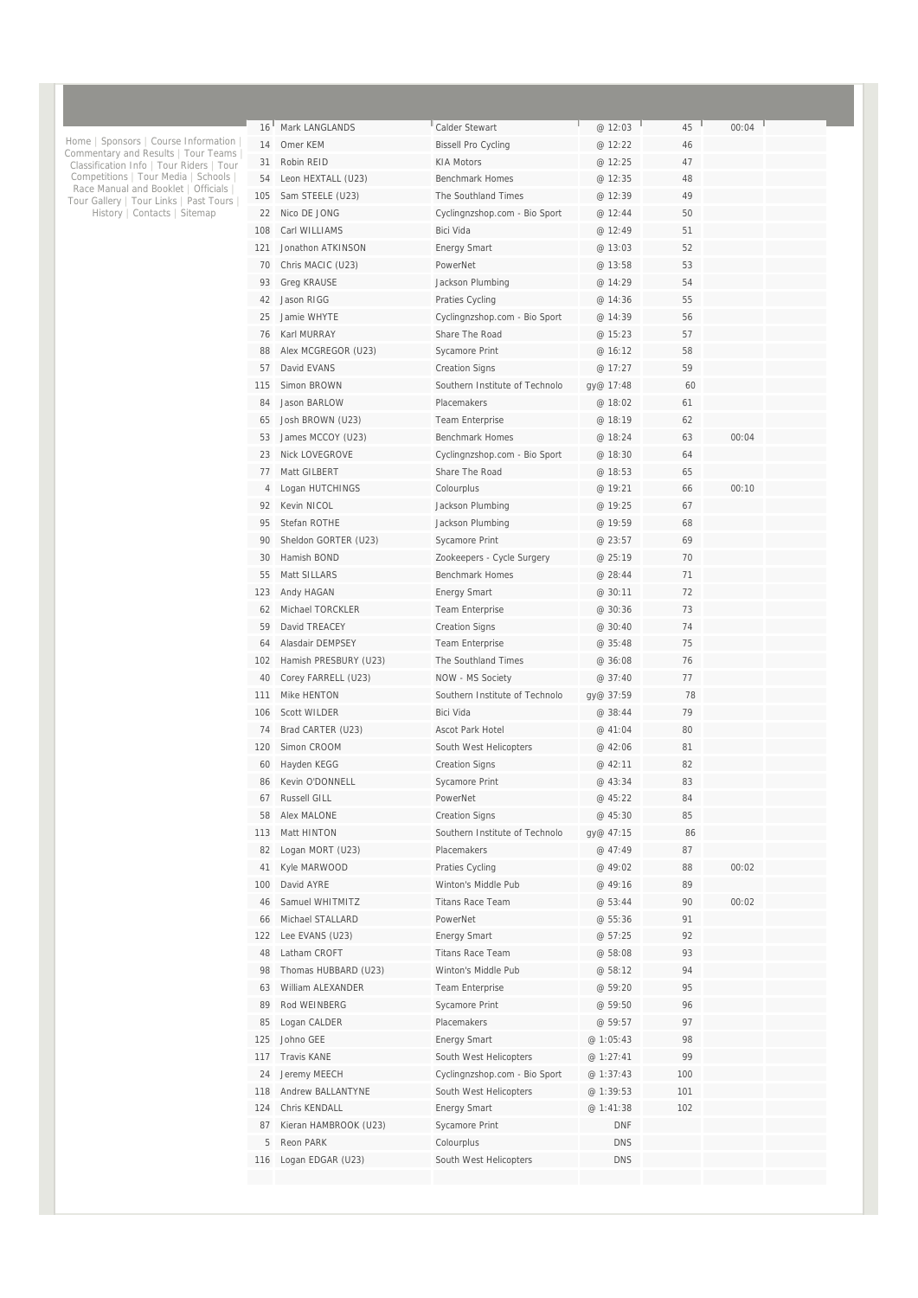| 16 <sup>1</sup>         | Mark LANGLANDS                 | Calder Stewart                       | @ 12:03                  | L.<br>45 | 00:04 |  |
|-------------------------|--------------------------------|--------------------------------------|--------------------------|----------|-------|--|
| 14                      | Omer KFM                       | <b>Bissell Pro Cycling</b>           | @ 12:22                  | 46       |       |  |
| 31                      | Robin REID                     | <b>KIA Motors</b>                    | @ 12:25                  | 47       |       |  |
| 54                      | Leon HEXTALL (U23)             | <b>Benchmark Homes</b>               | @ 12:35                  | 48       |       |  |
| 105                     | Sam STEELE (U23)               | The Southland Times                  | @ 12:39                  | 49       |       |  |
| 22                      | Nico DE JONG                   | Cyclingnzshop.com - Bio Sport        | @ 12:44                  | 50       |       |  |
| 108                     | Carl WILLIAMS                  | Bici Vida                            | @ 12:49                  | 51       |       |  |
| 121                     | Jonathon ATKINSON              | <b>Energy Smart</b>                  | @ 13:03                  | 52       |       |  |
| 70                      | Chris MACIC (U23)              | PowerNet                             | @ 13:58                  | 53       |       |  |
| 93                      | <b>Greg KRAUSE</b>             | Jackson Plumbing                     | @ 14:29                  | 54       |       |  |
| 42                      | Jason RIGG                     | Praties Cycling                      | @ 14:36                  | 55       |       |  |
| 25                      | Jamie WHYTF                    | Cyclingnzshop.com - Bio Sport        | @ 14:39                  | 56       |       |  |
| 76                      | Karl MURRAY                    | Share The Road                       | @ 15:23                  | 57       |       |  |
| 88                      | Alex MCGREGOR (U23)            | Sycamore Print                       | @ 16:12                  | 58       |       |  |
| 57                      | David EVANS                    | <b>Creation Signs</b>                | @ 17:27                  | 59       |       |  |
| 115                     | Simon BROWN                    | Southern Institute of Technolo       | gy@ 17:48                | 60       |       |  |
| 84                      | Jason BARLOW                   | Placemakers                          | @ 18:02                  | 61       |       |  |
| 65                      | Josh BROWN (U23)               | <b>Team Enterprise</b>               | @ 18:19                  | 62       |       |  |
| 53                      | James MCCOY (U23)              | <b>Benchmark Homes</b>               | @ 18:24                  | 63       | 00:04 |  |
| 23                      | <b>Nick LOVEGROVE</b>          | Cyclingnzshop.com - Bio Sport        | @ 18:30                  | 64       |       |  |
| 77                      | Matt GILBERT                   | Share The Road                       | @ 18:53                  | 65       |       |  |
| 4                       | Logan HUTCHINGS                | Colourplus                           | @ 19:21                  | 66       | 00:10 |  |
| 92                      | Kevin NICOL                    | Jackson Plumbing                     | @ 19:25                  | 67       |       |  |
| 95                      | Stefan ROTHE                   | Jackson Plumbing                     | @ 19:59                  | 68       |       |  |
| 90                      | Sheldon GORTER (U23)           | Sycamore Print                       | @ 23:57                  | 69       |       |  |
| 30                      | Hamish BOND                    | Zookeepers - Cycle Surgery           | @ 25:19                  | 70       |       |  |
| 55                      | Matt SILLARS                   | <b>Benchmark Homes</b>               | @ 28:44                  | 71       |       |  |
| 123                     | Andy HAGAN                     | <b>Energy Smart</b>                  | @ 30:11                  | 72       |       |  |
| 62                      | Michael TORCKLER               | Team Enterprise                      | @ 30:36                  | 73       |       |  |
| 59                      | David TREACEY                  | <b>Creation Signs</b>                | @ 30:40                  | 74       |       |  |
| 64                      | Alasdair DEMPSEY               | Team Enterprise                      | @ 35:48                  | 75       |       |  |
| 102                     | Hamish PRESBURY (U23)          | The Southland Times                  | @ 36:08                  | 76       |       |  |
| 40                      | Corey FARRELL (U23)            | NOW - MS Society                     | @ 37:40                  | 77       |       |  |
| 111                     | Mike HENTON                    | Southern Institute of Technolo       | gy@ 37:59                | 78       |       |  |
| 106                     | <b>Scott WILDER</b>            | <b>Bici Vida</b>                     | @ 38:44                  | 79       |       |  |
| 74                      | Brad CARTER (U23)              | <b>Ascot Park Hotel</b>              | @ 41:04                  | 80       |       |  |
| 120                     | Simon CROOM                    | South West Helicopters               | @ 42:06                  | 81       |       |  |
| 60                      | Hayden KEGG                    | <b>Creation Signs</b>                | @ 42:11                  | 82       |       |  |
| 86                      | Kevin O'DONNELL                | Sycamore Print                       | @ 43:34                  | 83       |       |  |
| 67                      | Russell GILL                   | PowerNet                             | @ 45:22                  | 84       |       |  |
| 58                      | Alex MALONE                    | <b>Creation Signs</b>                | @ 45:30                  | 85       |       |  |
| 113                     | Matt HINTON                    | Southern Institute of Technolo       | gy@ 47:15                | 86       |       |  |
| 82                      | Logan MORT (U23)               | Placemakers                          | @ 47:49                  | 87       |       |  |
| 41                      | Kyle MARWOOD                   | Praties Cycling                      | @ 49:02                  | 88       | 00:02 |  |
| 100                     | David AYRE                     | Winton's Middle Pub                  | @ 49:16                  | 89       |       |  |
| 46                      | Samuel WHITMITZ                | <b>Titans Race Team</b>              | @ 53:44                  | 90       | 00:02 |  |
| 66                      | Michael STALLARD               | PowerNet                             | @ 55:36                  | 91       |       |  |
|                         |                                | <b>Energy Smart</b>                  |                          | 92       |       |  |
| 122                     | Lee EVANS (U23)                | <b>Titans Race Team</b>              | @ 57:25<br>@ 58:08       |          |       |  |
| 48                      | Latham CROFT                   |                                      |                          | 93       |       |  |
| 98                      | Thomas HUBBARD (U23)           | Winton's Middle Pub                  | @ 58:12                  | 94       |       |  |
| 63                      | William ALEXANDER              | Team Enterprise                      | @ 59:20                  | 95       |       |  |
| 89                      | Rod WEINBERG                   | Sycamore Print                       | @ 59:50                  | 96       |       |  |
| 85                      | Logan CALDER                   | Placemakers                          | @ 59:57                  | 97       |       |  |
| 125                     | Johno GEE                      | <b>Energy Smart</b>                  | @ 1:05:43                | 98       |       |  |
|                         |                                | South West Helicopters               | @ 1:27:41                | 99       |       |  |
|                         | Travis KANE                    |                                      |                          | 100      |       |  |
| 24                      | Jeremy MEECH                   | Cyclingnzshop.com - Bio Sport        | @ 1:37:43                |          |       |  |
|                         | Andrew BALLANTYNE              | South West Helicopters               | @ 1:39:53                | 101      |       |  |
|                         | Chris KENDALL                  | <b>Energy Smart</b>                  | @ 1:41:38                | 102      |       |  |
| 117<br>118<br>124<br>87 | Kieran HAMBROOK (U23)          | Sycamore Print                       | <b>DNF</b>               |          |       |  |
| 5<br>116                | Reon PARK<br>Logan EDGAR (U23) | Colourplus<br>South West Helicopters | <b>DNS</b><br><b>DNS</b> |          |       |  |

Home | Sponsors | Course Information |<br>Commentary and Results | Tour Teams |<br>Classification Info | Tour Riders | Tour<br>Competitions | Tour Media | Schools |<br>Race Manual and Booklet | Officials |<br>Tour Gallery | Tour Links |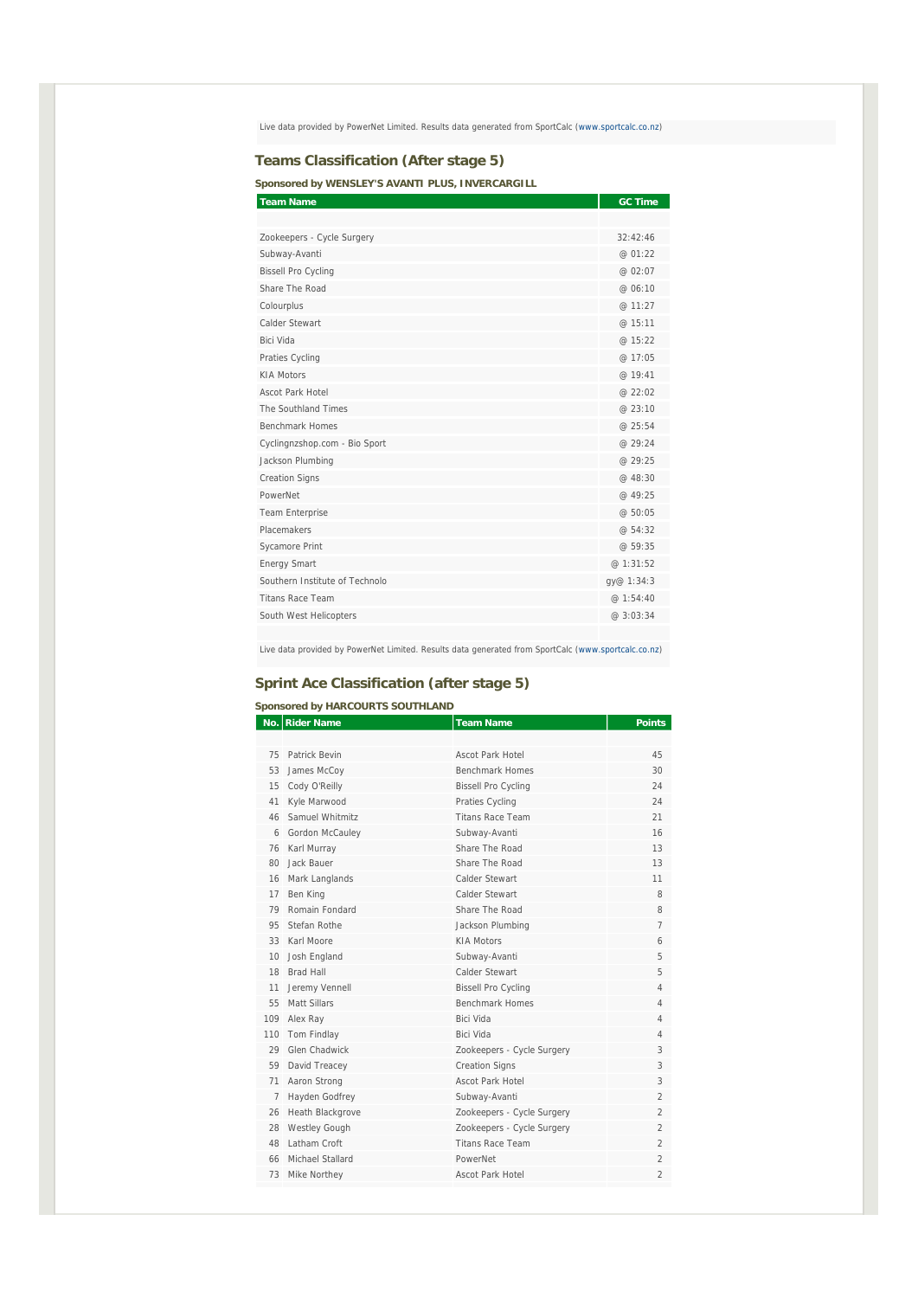Live data provided by PowerNet Limited. Results data generated from SportCalc (www.sportcalc.co.nz)

#### **Teams Classification (After stage 5)**

**Sponsored by WENSLEY'S AVANTI PLUS, INVERCARGILL** 

| <b>Team Name</b>               | <b>GC Time</b> |
|--------------------------------|----------------|
|                                |                |
| Zookeepers - Cycle Surgery     | 32:42:46       |
| Subway-Avanti                  | @ 01:22        |
| <b>Bissell Pro Cycling</b>     | @ 02:07        |
| Share The Road                 | @ 06:10        |
| Colourplus                     | @ 11:27        |
| Calder Stewart                 | @ 15:11        |
| Bici Vida                      | @ 15:22        |
| Praties Cycling                | @ 17:05        |
| <b>KIA Motors</b>              | @ 19:41        |
| Ascot Park Hotel               | @22:02         |
| The Southland Times            | @ 23:10        |
| <b>Benchmark Homes</b>         | @25:54         |
| Cyclingnzshop.com - Bio Sport  | @ 29:24        |
| Jackson Plumbing               | @ 29:25        |
| <b>Creation Signs</b>          | @ 48:30        |
| PowerNet                       | @ 49:25        |
| Team Enterprise                | @ 50:05        |
| Placemakers                    | @ 54:32        |
| Sycamore Print                 | @59:35         |
| <b>Energy Smart</b>            | @ 1:31:52      |
| Southern Institute of Technolo | gy@ 1:34:3     |
| <b>Titans Race Team</b>        | @ 1:54:40      |
| South West Helicopters         | @ 3:03:34      |
|                                |                |

Live data provided by PowerNet Limited. Results data generated from SportCalc (www.sportcalc.co.nz)

# **Sprint Ace Classification (after stage 5)**

#### **Sponsored by HARCOURTS SOUTHLAND No.** Rider Name **Rights Rights Rights Rights Points Rights Points** 75 Patrick Bevin Ascot Park Hotel 45 53 James McCoy Benchmark Homes 30 15 Cody O'Reilly Bissell Pro Cycling 24 41 Kyle Marwood Praties Cycling 24 46 Samuel Whitmitz **Titans Race Team** 21 6 Gordon McCauley Subway-Avanti 16 76 Karl Murray Share The Road 13 13<br>80 Jack Bauer Share The Road 13 16 Mark Langlands **Calder Stewart** 11 17 Ben King **Calder Stewart** 8 79 Romain Fondard Share The Road 8 95 Stefan Rothe **Jackson Plumbing** 7 33 Karl Moore KIA Motors 6 10 Josh England Subway-Avanti 5 18 Brad Hall **Calder Stewart** 5 11 Jeremy Vennell **Bissell Pro Cycling 4** 4 55 Matt Sillars Benchmark Homes 4 109 Alex Ray Bici Vida 4 110 Tom Findlay Bici Vida 4 29 Glen Chadwick 200keepers - Cycle Surgery 3 59 David Treacey Creation Signs 3 71 Aaron Strong Ascot Park Hotel 3 7 Hayden Godfrey Subway-Avanti 2 26 Heath Blackgrove 200keepers - Cycle Surgery 2 28 Westley Gough 200keepers - Cycle Surgery 2 48 Latham Croft **Titans Race Team** 2 66 Michael Stallard PowerNet 2 73 Mike Northey **Ascot Park Hotel** 2